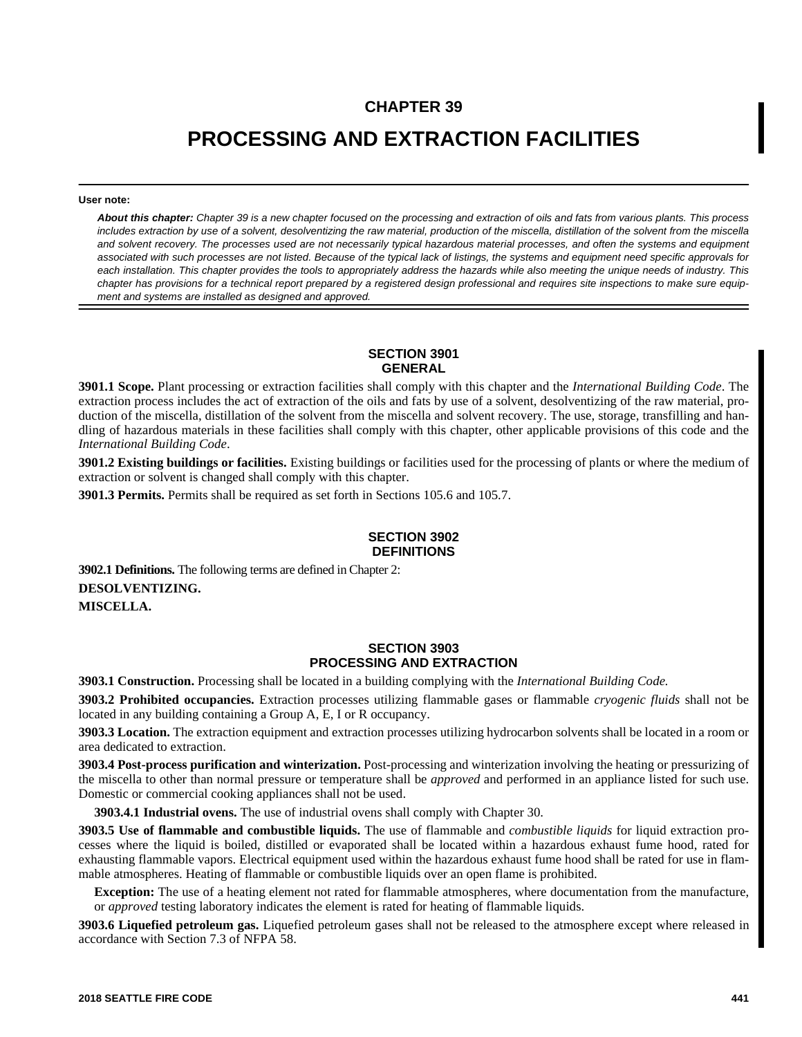# **CHAPTER 39**

# **PROCESSING AND EXTRACTION FACILITIES**

#### **User note:**

*About this chapter: Chapter 39 is a new chapter focused on the processing and extraction of oils and fats from various plants. This process includes extraction by use of a solvent, desolventizing the raw material, production of the miscella, distillation of the solvent from the miscella and solvent recovery. The processes used are not necessarily typical hazardous material processes, and often the systems and equipment associated with such processes are not listed. Because of the typical lack of listings, the systems and equipment need specific approvals for each installation. This chapter provides the tools to appropriately address the hazards while also meeting the unique needs of industry. This chapter has provisions for a technical report prepared by a registered design professional and requires site inspections to make sure equipment and systems are installed as designed and approved.*

### **SECTION 3901 GENERAL**

**3901.1 Scope.** Plant processing or extraction facilities shall comply with this chapter and the *International Building Code*. The extraction process includes the act of extraction of the oils and fats by use of a solvent, desolventizing of the raw material, production of the miscella, distillation of the solvent from the miscella and solvent recovery. The use, storage, transfilling and handling of hazardous materials in these facilities shall comply with this chapter, other applicable provisions of this code and the *International Building Code*.

**3901.2 Existing buildings or facilities.** Existing buildings or facilities used for the processing of plants or where the medium of extraction or solvent is changed shall comply with this chapter.

**3901.3 Permits.** Permits shall be required as set forth in Sections 105.6 and 105.7.

#### **SECTION 3902 DEFINITIONS**

**3902.1 Definitions.** The following terms are defined in Chapter 2: **DESOLVENTIZING. MISCELLA.**

# **SECTION 3903 PROCESSING AND EXTRACTION**

**3903.1 Construction.** Processing shall be located in a building complying with the *International Building Code.*

**3903.2 Prohibited occupancies.** Extraction processes utilizing flammable gases or flammable *cryogenic fluids* shall not be located in any building containing a Group A, E, I or R occupancy.

**3903.3 Location.** The extraction equipment and extraction processes utilizing hydrocarbon solvents shall be located in a room or area dedicated to extraction.

**3903.4 Post-process purification and winterization.** Post-processing and winterization involving the heating or pressurizing of the miscella to other than normal pressure or temperature shall be *approved* and performed in an appliance listed for such use. Domestic or commercial cooking appliances shall not be used.

**3903.4.1 Industrial ovens.** The use of industrial ovens shall comply with Chapter 30.

**3903.5 Use of flammable and combustible liquids.** The use of flammable and *combustible liquids* for liquid extraction processes where the liquid is boiled, distilled or evaporated shall be located within a hazardous exhaust fume hood, rated for exhausting flammable vapors. Electrical equipment used within the hazardous exhaust fume hood shall be rated for use in flammable atmospheres. Heating of flammable or combustible liquids over an open flame is prohibited.

**Exception:** The use of a heating element not rated for flammable atmospheres, where documentation from the manufacture, or *approved* testing laboratory indicates the element is rated for heating of flammable liquids.

**3903.6 Liquefied petroleum gas.** Liquefied petroleum gases shall not be released to the atmosphere except where released in accordance with Section 7.3 of NFPA 58.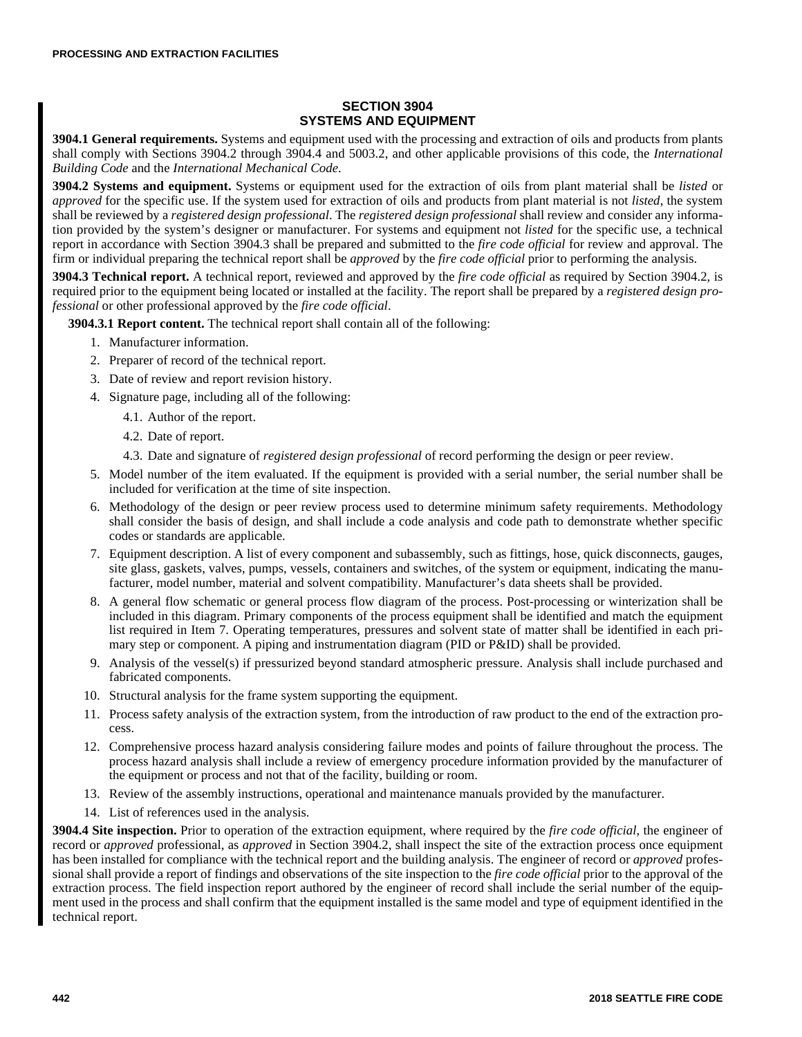# **SECTION 3904 SYSTEMS AND EQUIPMENT**

**3904.1 General requirements.** Systems and equipment used with the processing and extraction of oils and products from plants shall comply with Sections 3904.2 through 3904.4 and 5003.2, and other applicable provisions of this code, the *International Building Code* and the *International Mechanical Code*.

**3904.2 Systems and equipment.** Systems or equipment used for the extraction of oils from plant material shall be *listed* or *approved* for the specific use. If the system used for extraction of oils and products from plant material is not *listed*, the system shall be reviewed by a *registered design professional*. The *registered design professional* shall review and consider any information provided by the system's designer or manufacturer. For systems and equipment not *listed* for the specific use, a technical report in accordance with Section 3904.3 shall be prepared and submitted to the *fire code official* for review and approval. The firm or individual preparing the technical report shall be *approved* by the *fire code official* prior to performing the analysis.

**3904.3 Technical report.** A technical report, reviewed and approved by the *fire code official* as required by Section 3904.2, is required prior to the equipment being located or installed at the facility. The report shall be prepared by a *registered design professional* or other professional approved by the *fire code official*.

**3904.3.1 Report content.** The technical report shall contain all of the following:

- 1. Manufacturer information.
- 2. Preparer of record of the technical report.
- 3. Date of review and report revision history.
- 4. Signature page, including all of the following:
	- 4.1. Author of the report.
	- 4.2. Date of report.
	- 4.3. Date and signature of *registered design professional* of record performing the design or peer review.
- 5. Model number of the item evaluated. If the equipment is provided with a serial number, the serial number shall be included for verification at the time of site inspection.
- 6. Methodology of the design or peer review process used to determine minimum safety requirements. Methodology shall consider the basis of design, and shall include a code analysis and code path to demonstrate whether specific codes or standards are applicable.
- 7. Equipment description. A list of every component and subassembly, such as fittings, hose, quick disconnects, gauges, site glass, gaskets, valves, pumps, vessels, containers and switches, of the system or equipment, indicating the manufacturer, model number, material and solvent compatibility. Manufacturer's data sheets shall be provided.
- 8. A general flow schematic or general process flow diagram of the process. Post-processing or winterization shall be included in this diagram. Primary components of the process equipment shall be identified and match the equipment list required in Item 7. Operating temperatures, pressures and solvent state of matter shall be identified in each primary step or component. A piping and instrumentation diagram (PID or P&ID) shall be provided.
- 9. Analysis of the vessel(s) if pressurized beyond standard atmospheric pressure. Analysis shall include purchased and fabricated components.
- 10. Structural analysis for the frame system supporting the equipment.
- 11. Process safety analysis of the extraction system, from the introduction of raw product to the end of the extraction process.
- 12. Comprehensive process hazard analysis considering failure modes and points of failure throughout the process. The process hazard analysis shall include a review of emergency procedure information provided by the manufacturer of the equipment or process and not that of the facility, building or room.
- 13. Review of the assembly instructions, operational and maintenance manuals provided by the manufacturer.
- 14. List of references used in the analysis.

**3904.4 Site inspection.** Prior to operation of the extraction equipment, where required by the *fire code official*, the engineer of record or *approved* professional, as *approved* in Section 3904.2, shall inspect the site of the extraction process once equipment has been installed for compliance with the technical report and the building analysis. The engineer of record or *approved* professional shall provide a report of findings and observations of the site inspection to the *fire code official* prior to the approval of the extraction process. The field inspection report authored by the engineer of record shall include the serial number of the equipment used in the process and shall confirm that the equipment installed is the same model and type of equipment identified in the technical report.